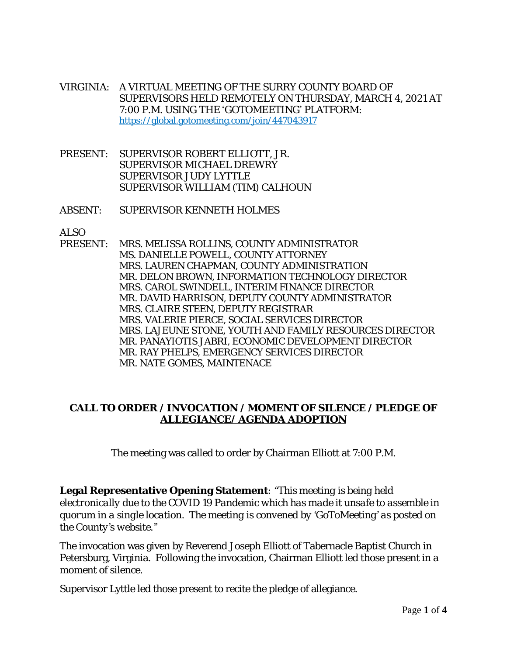- VIRGINIA: A VIRTUAL MEETING OF THE SURRY COUNTY BOARD OF SUPERVISORS HELD REMOTELY ON THURSDAY, MARCH 4, 2021 AT 7:00 P.M. USING THE 'GOTOMEETING' PLATFORM: https://global.gotomeeting.com/join/447043917
- PRESENT: SUPERVISOR ROBERT ELLIOTT, JR. SUPERVISOR MICHAEL DREWRY SUPERVISOR JUDY LYTTLE SUPERVISOR WILLIAM (TIM) CALHOUN
- ABSENT: SUPERVISOR KENNETH HOLMES

ALSO<br>PRESENT: MRS. MELISSA ROLLINS, COUNTY ADMINISTRATOR MS. DANIELLE POWELL, COUNTY ATTORNEY MRS. LAUREN CHAPMAN, COUNTY ADMINISTRATION MR. DELON BROWN, INFORMATION TECHNOLOGY DIRECTOR MRS. CAROL SWINDELL, INTERIM FINANCE DIRECTOR MR. DAVID HARRISON, DEPUTY COUNTY ADMINISTRATOR MRS. CLAIRE STEEN, DEPUTY REGISTRAR MRS. VALERIE PIERCE, SOCIAL SERVICES DIRECTOR MRS. LAJEUNE STONE, YOUTH AND FAMILY RESOURCES DIRECTOR MR. PANAYIOTIS JABRI, ECONOMIC DEVELOPMENT DIRECTOR MR. RAY PHELPS, EMERGENCY SERVICES DIRECTOR MR. NATE GOMES, MAINTENACE

## **CALL TO ORDER / INVOCATION / MOMENT OF SILENCE / PLEDGE OF ALLEGIANCE/ AGENDA ADOPTION**

The meeting was called to order by Chairman Elliott at 7:00 P.M.

**Legal Representative Opening Statement***: "This meeting is being held electronically due to the COVID 19 Pandemic which has made it unsafe to assemble in quorum in a single location. The meeting is convened by 'GoToMeeting' as posted on the County's website."*

The invocation was given by Reverend Joseph Elliott of Tabernacle Baptist Church in Petersburg, Virginia. Following the invocation, Chairman Elliott led those present in a moment of silence.

Supervisor Lyttle led those present to recite the pledge of allegiance.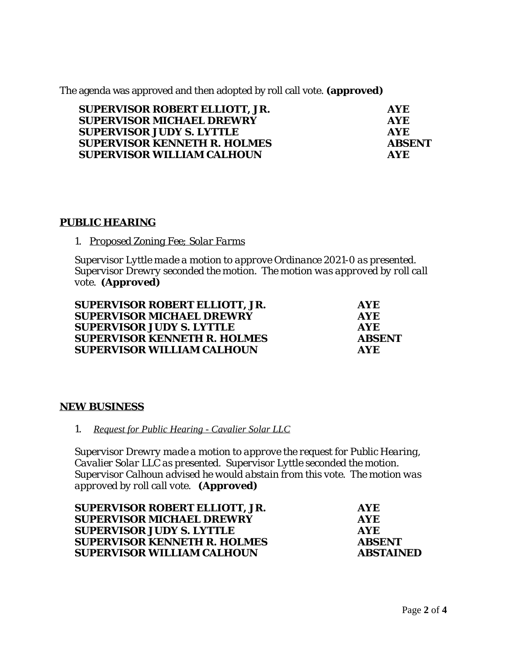The agenda was approved and then adopted by roll call vote. **(approved)**

| <b>SUPERVISOR ROBERT ELLIOTT, JR.</b> | <b>AYE</b>    |
|---------------------------------------|---------------|
| <b>SUPERVISOR MICHAEL DREWRY</b>      | <b>AYE</b>    |
| <b>SUPERVISOR JUDY S. LYTTLE</b>      | <b>AYE</b>    |
| <b>SUPERVISOR KENNETH R. HOLMES</b>   | <b>ABSENT</b> |
| <b>SUPERVISOR WILLIAM CALHOUN</b>     | <b>AYF</b>    |

## **PUBLIC HEARING**

*1. Proposed Zoning Fee; Solar Farms*

*Supervisor Lyttle made a motion to approve Ordinance 2021-0 as presented. Supervisor Drewry seconded the motion. The motion was approved by roll call vote. (Approved)*

| SUPERVISOR ROBERT ELLIOTT, JR.      | AYE.          |
|-------------------------------------|---------------|
| <b>SUPERVISOR MICHAEL DREWRY</b>    | <b>AYE</b>    |
| <b>SUPERVISOR JUDY S. LYTTLE</b>    | <b>AYF</b>    |
| <b>SUPERVISOR KENNETH R. HOLMES</b> | <b>ABSENT</b> |
| <b>SUPERVISOR WILLIAM CALHOUN</b>   | <b>AYE</b>    |

## **NEW BUSINESS**

*1. Request for Public Hearing - Cavalier Solar LLC*

*Supervisor Drewry made a motion to approve the request for Public Hearing, Cavalier Solar LLC as presented. Supervisor Lyttle seconded the motion. Supervisor Calhoun advised he would abstain from this vote. The motion was approved by roll call vote. (Approved)*

| <b>SUPERVISOR ROBERT ELLIOTT, JR.</b> | <b>AYE</b>       |
|---------------------------------------|------------------|
| <b>SUPERVISOR MICHAEL DREWRY</b>      | <b>AYE</b>       |
| <b>SUPERVISOR JUDY S. LYTTLE</b>      | <b>AYE</b>       |
| <b>SUPERVISOR KENNETH R. HOLMES</b>   | <b>ABSENT</b>    |
| <b>SUPERVISOR WILLIAM CALHOUN</b>     | <b>ABSTAINED</b> |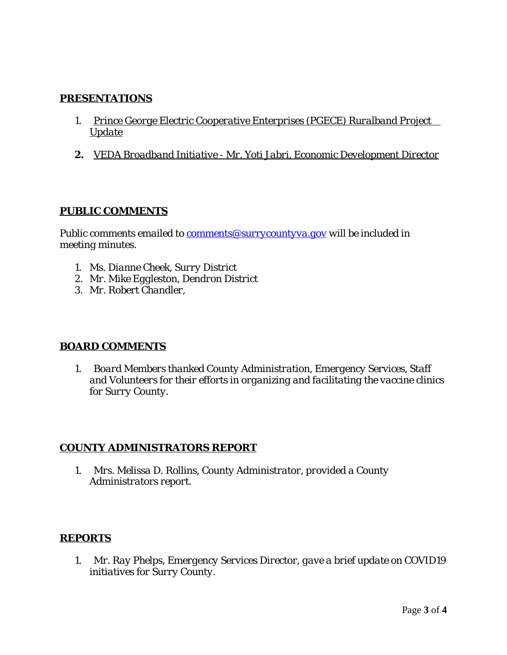## **PRESENTATIONS**

- *1. Prince George Electric Cooperative Enterprises (PGECE) Ruralband Project Update*
- *2. VEDA Broadband Initiative Mr. Yoti Jabri, Economic Development Director*

## **PUBLIC COMMENTS**

*Public comments emailed to [comments@surrycountyva.gov will be included in](mailto:comments@surrycountyva.gov) [meeting minutes.](mailto:comments@surrycountyva.gov)* 

- *1. [Ms. Dianne Cheek, Surry District](mailto:comments@surrycountyva.gov)*
- *2. [Mr. Mike Eggleston, Dendron District](mailto:comments@surrycountyva.gov)*
- *3. [Mr. Robert Chandler,](mailto:comments@surrycountyva.gov)*

# **[BOARD COMMENTS](mailto:comments@surrycountyva.gov)**

*1. [Board Members thanked County Administration, Emergency Services, Staff](mailto:comments@surrycountyva.gov)  [and Volunteers for their efforts in organizing](mailto:comments@surrycountyva.gov) [and](mailto:comments@surrycountyva.gov) [facilitating the vaccine clinics](mailto:comments@surrycountyva.gov)  [for Surry County.](mailto:comments@surrycountyva.gov)*

## **[COUNTY ADMINISTRATORS REPORT](mailto:comments@surrycountyva.gov)**

*1. [Mrs. Melissa D. Rollins, County Administrator, provided a County](mailto:comments@surrycountyva.gov)  [Administrators report.](mailto:comments@surrycountyva.gov)*

## **[REPORTS](mailto:comments@surrycountyva.gov)**

*1. [Mr. Ray Phelps, Emergency Services Director, gave a brief update on COVID19](mailto:comments@surrycountyva.gov) [initiatives for Surry County.](mailto:comments@surrycountyva.gov)*